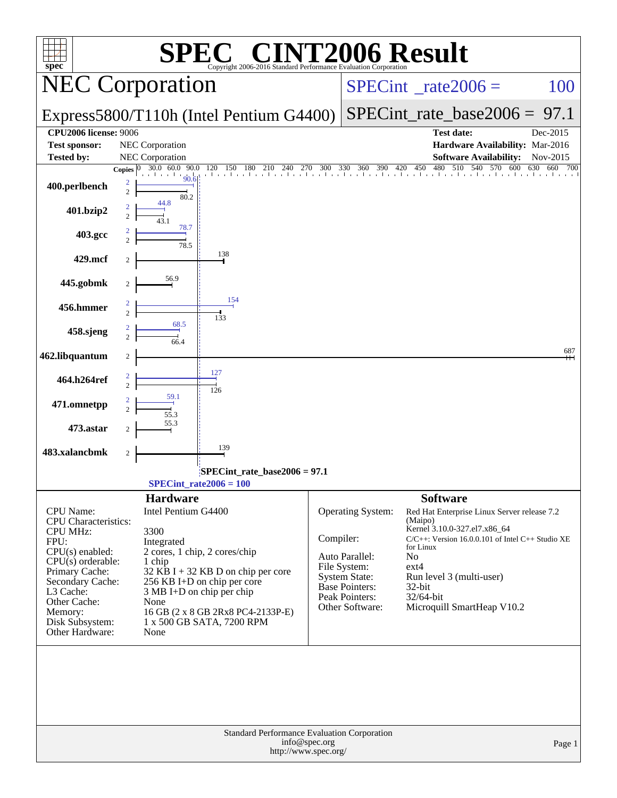| <b>INT2006 Result</b><br>$\bigcap_{\mathbb{R}}$<br>$spec^*$<br>Copyright 2006-2016 Standard Performance Evaluation Corporation |                                             |                                                                     |           |                                  |                                                                                               |            |  |  |  |  |
|--------------------------------------------------------------------------------------------------------------------------------|---------------------------------------------|---------------------------------------------------------------------|-----------|----------------------------------|-----------------------------------------------------------------------------------------------|------------|--|--|--|--|
|                                                                                                                                | <b>NEC Corporation</b>                      |                                                                     |           | $SPECint^{\circ}$ rate $2006 =$  | 100                                                                                           |            |  |  |  |  |
|                                                                                                                                |                                             | Express5800/T110h (Intel Pentium G4400)                             |           | $SPECint_rate\_base2006 = 97.1$  |                                                                                               |            |  |  |  |  |
| <b>CPU2006</b> license: 9006                                                                                                   |                                             |                                                                     |           |                                  | <b>Test date:</b>                                                                             | Dec-2015   |  |  |  |  |
| <b>Test sponsor:</b><br><b>Tested by:</b>                                                                                      | NEC Corporation<br><b>NEC Corporation</b>   |                                                                     |           |                                  | Hardware Availability: Mar-2016<br><b>Software Availability:</b>                              | Nov-2015   |  |  |  |  |
|                                                                                                                                | 90.0<br>30.0 60.0<br>Copies $ 0\rangle$     |                                                                     |           |                                  | 480<br>510 540<br>$120$ 150 180 210 240 270 300 330 360 390 420 450 480 510 540 570 600 630 6 | 660<br>700 |  |  |  |  |
| 400.perlbench                                                                                                                  | 90.6<br>80.2                                |                                                                     |           |                                  |                                                                                               |            |  |  |  |  |
| 401.bzip2                                                                                                                      | 44.8<br>78.7                                |                                                                     |           |                                  |                                                                                               |            |  |  |  |  |
| 403.gcc                                                                                                                        | $\frac{1}{78.5}$                            |                                                                     |           |                                  |                                                                                               |            |  |  |  |  |
| 429.mcf                                                                                                                        |                                             | 138                                                                 |           |                                  |                                                                                               |            |  |  |  |  |
| 445.gobmk                                                                                                                      | 56.9<br>2                                   |                                                                     |           |                                  |                                                                                               |            |  |  |  |  |
| 456.hmmer                                                                                                                      |                                             | 154<br>133                                                          |           |                                  |                                                                                               |            |  |  |  |  |
| 458.sjeng                                                                                                                      | 68.5                                        |                                                                     |           |                                  |                                                                                               |            |  |  |  |  |
| 462.libquantum                                                                                                                 | 2                                           |                                                                     |           |                                  |                                                                                               | 687        |  |  |  |  |
| 464.h264ref                                                                                                                    |                                             | 127<br>126                                                          |           |                                  |                                                                                               |            |  |  |  |  |
| 471.omnetpp                                                                                                                    | 59.1<br>55.3                                |                                                                     |           |                                  |                                                                                               |            |  |  |  |  |
| 473.astar                                                                                                                      | 55.3                                        |                                                                     |           |                                  |                                                                                               |            |  |  |  |  |
| 483.xalancbmk                                                                                                                  | 2                                           | 139                                                                 |           |                                  |                                                                                               |            |  |  |  |  |
| SPECint_rate_base2006 = 97.1<br>$SPECint_rate2006 = 100$                                                                       |                                             |                                                                     |           |                                  |                                                                                               |            |  |  |  |  |
|                                                                                                                                | <b>Hardware</b>                             |                                                                     |           |                                  | <b>Software</b>                                                                               |            |  |  |  |  |
| <b>CPU</b> Name:<br><b>CPU</b> Characteristics:                                                                                | Intel Pentium G4400                         |                                                                     |           | Operating System:                | Red Hat Enterprise Linux Server release 7.2<br>(Maipo)                                        |            |  |  |  |  |
| <b>CPU MHz:</b>                                                                                                                | 3300                                        |                                                                     |           |                                  | Kernel 3.10.0-327.el7.x86_64                                                                  |            |  |  |  |  |
| FPU:<br>CPU(s) enabled:                                                                                                        | Integrated<br>2 cores, 1 chip, 2 cores/chip |                                                                     | Compiler: |                                  | C/C++: Version 16.0.0.101 of Intel C++ Studio XE<br>for Linux                                 |            |  |  |  |  |
| $CPU(s)$ orderable:                                                                                                            | 1 chip                                      |                                                                     |           | Auto Parallel:<br>File System:   | N <sub>0</sub><br>$ext{4}$                                                                    |            |  |  |  |  |
| Primary Cache:<br>Secondary Cache:                                                                                             |                                             | $32$ KB I + 32 KB D on chip per core<br>256 KB I+D on chip per core |           | <b>System State:</b>             | Run level 3 (multi-user)                                                                      |            |  |  |  |  |
| L3 Cache:                                                                                                                      | $3 MB I+D$ on chip per chip                 |                                                                     |           | Base Pointers:<br>Peak Pointers: | 32-bit<br>32/64-bit                                                                           |            |  |  |  |  |
| Other Cache:                                                                                                                   | None                                        |                                                                     |           | Other Software:                  | Microquill SmartHeap V10.2                                                                    |            |  |  |  |  |
| Memory:<br>Disk Subsystem:                                                                                                     |                                             | 16 GB (2 x 8 GB 2Rx8 PC4-2133P-E)<br>1 x 500 GB SATA, 7200 RPM      |           |                                  |                                                                                               |            |  |  |  |  |
| Other Hardware:                                                                                                                | None                                        |                                                                     |           |                                  |                                                                                               |            |  |  |  |  |
|                                                                                                                                |                                             |                                                                     |           |                                  |                                                                                               |            |  |  |  |  |
|                                                                                                                                |                                             |                                                                     | Page 1    |                                  |                                                                                               |            |  |  |  |  |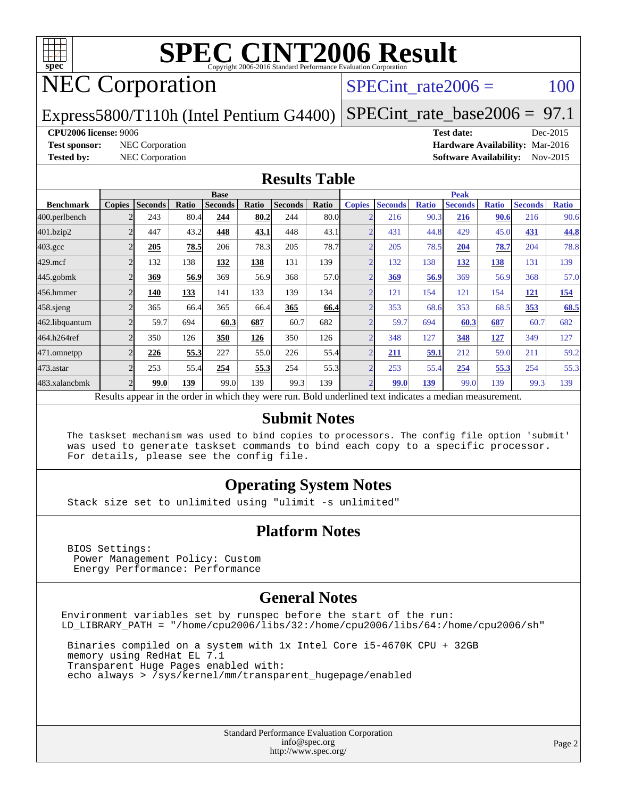

# NEC Corporation

SPECint rate $2006 = 100$ 

Express5800/T110h (Intel Pentium G4400)

[SPECint\\_rate\\_base2006 =](http://www.spec.org/auto/cpu2006/Docs/result-fields.html#SPECintratebase2006) 97.1

#### **[CPU2006 license:](http://www.spec.org/auto/cpu2006/Docs/result-fields.html#CPU2006license)** 9006 **[Test date:](http://www.spec.org/auto/cpu2006/Docs/result-fields.html#Testdate)** Dec-2015

**[Test sponsor:](http://www.spec.org/auto/cpu2006/Docs/result-fields.html#Testsponsor)** NEC Corporation **[Hardware Availability:](http://www.spec.org/auto/cpu2006/Docs/result-fields.html#HardwareAvailability)** Mar-2016 **[Tested by:](http://www.spec.org/auto/cpu2006/Docs/result-fields.html#Testedby)** NEC Corporation **[Software Availability:](http://www.spec.org/auto/cpu2006/Docs/result-fields.html#SoftwareAvailability)** Nov-2015

#### **[Results Table](http://www.spec.org/auto/cpu2006/Docs/result-fields.html#ResultsTable)**

|                                                                                                          | <b>Base</b>              |                |       |                |       |                |       | <b>Peak</b>    |                |              |                |              |                |              |
|----------------------------------------------------------------------------------------------------------|--------------------------|----------------|-------|----------------|-------|----------------|-------|----------------|----------------|--------------|----------------|--------------|----------------|--------------|
| <b>Benchmark</b>                                                                                         | <b>Copies</b>            | <b>Seconds</b> | Ratio | <b>Seconds</b> | Ratio | <b>Seconds</b> | Ratio | <b>Copies</b>  | <b>Seconds</b> | <b>Ratio</b> | <b>Seconds</b> | <b>Ratio</b> | <b>Seconds</b> | <b>Ratio</b> |
| 400.perlbench                                                                                            |                          | 243            | 80.4  | 244            | 80.2  | 244            | 80.0  |                | 216            | 90.3         | 216            | 90.6         | 216            | 90.6         |
| 401.bzip2                                                                                                |                          | 447            | 43.2  | 448            | 43.1  | 448            | 43.1  |                | 431            | 44.8         | 429            | 45.0         | 431            | 44.8         |
| $403.\mathrm{gcc}$                                                                                       | $\overline{2}$           | 205            | 78.5  | 206            | 78.3  | 205            | 78.7  | $\overline{2}$ | 205            | 78.5         | 204            | 78.7         | 204            | 78.8         |
| $429$ .mcf                                                                                               |                          | 132            | 138   | 132            | 138   | 131            | 139   |                | 132            | 138          | 132            | 138          | 131            | 139          |
| $445$ .gobm $k$                                                                                          |                          | 369            | 56.9  | 369            | 56.9  | 368            | 57.0  |                | 369            | 56.9         | 369            | 56.9         | 368            | 57.0         |
| 456.hmmer                                                                                                |                          | 140            | 133   | 141            | 133   | 139            | 134   |                | 121            | 154          | 121            | 154          | <u>121</u>     | <u>154</u>   |
| $458$ .sjeng                                                                                             |                          | 365            | 66.4  | 365            | 66.4  | 365            | 66.4  | C              | 353            | 68.6         | 353            | 68.5         | 353            | 68.5         |
| 462.libquantum                                                                                           |                          | 59.7           | 694   | 60.3           | 687   | 60.7           | 682   |                | 59.7           | 694          | 60.3           | 687          | 60.7           | 682          |
| 464.h264ref                                                                                              |                          | 350            | 126   | 350            | 126   | 350            | 126   |                | 348            | 127          | 348            | 127          | 349            | 127          |
| 471.omnetpp                                                                                              |                          | 226            | 55.3  | 227            | 55.0  | 226            | 55.4  | $\overline{2}$ | 211            | 59.1         | 212            | 59.0         | 211            | 59.2         |
| 473.astar                                                                                                | $\overline{\mathcal{L}}$ | 253            | 55.4  | 254            | 55.3  | 254            | 55.3  | $\overline{ }$ | 253            | 55.4         | 254            | 55.3         | 254            | 55.3         |
| 483.xalancbmk                                                                                            |                          | 99.0           | 139   | 99.0           | 139   | 99.3           | 139   |                | 99.0           | 139          | 99.0           | 139          | 99.3           | 139          |
| Results appear in the order in which they were run. Bold underlined text indicates a median measurement. |                          |                |       |                |       |                |       |                |                |              |                |              |                |              |

#### **[Submit Notes](http://www.spec.org/auto/cpu2006/Docs/result-fields.html#SubmitNotes)**

 The taskset mechanism was used to bind copies to processors. The config file option 'submit' was used to generate taskset commands to bind each copy to a specific processor. For details, please see the config file.

#### **[Operating System Notes](http://www.spec.org/auto/cpu2006/Docs/result-fields.html#OperatingSystemNotes)**

Stack size set to unlimited using "ulimit -s unlimited"

#### **[Platform Notes](http://www.spec.org/auto/cpu2006/Docs/result-fields.html#PlatformNotes)**

 BIOS Settings: Power Management Policy: Custom Energy Performance: Performance

#### **[General Notes](http://www.spec.org/auto/cpu2006/Docs/result-fields.html#GeneralNotes)**

Environment variables set by runspec before the start of the run: LD\_LIBRARY\_PATH = "/home/cpu2006/libs/32:/home/cpu2006/libs/64:/home/cpu2006/sh"

 Binaries compiled on a system with 1x Intel Core i5-4670K CPU + 32GB memory using RedHat EL 7.1 Transparent Huge Pages enabled with: echo always > /sys/kernel/mm/transparent\_hugepage/enabled

> Standard Performance Evaluation Corporation [info@spec.org](mailto:info@spec.org) <http://www.spec.org/>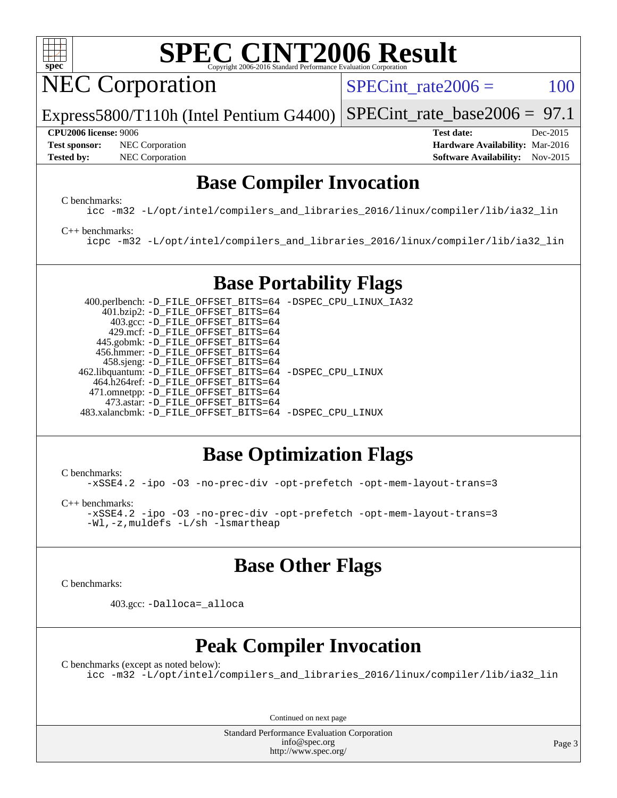

NEC Corporation

 $SPECTnt_rate2006 = 100$ 

Express5800/T110h (Intel Pentium G4400) [SPECint\\_rate\\_base2006 =](http://www.spec.org/auto/cpu2006/Docs/result-fields.html#SPECintratebase2006)  $97.1$ 

**[Test sponsor:](http://www.spec.org/auto/cpu2006/Docs/result-fields.html#Testsponsor)** NEC Corporation **NEC Corporation [Hardware Availability:](http://www.spec.org/auto/cpu2006/Docs/result-fields.html#HardwareAvailability)** Mar-2016

**[CPU2006 license:](http://www.spec.org/auto/cpu2006/Docs/result-fields.html#CPU2006license)** 9006 **[Test date:](http://www.spec.org/auto/cpu2006/Docs/result-fields.html#Testdate)** Dec-2015 **[Tested by:](http://www.spec.org/auto/cpu2006/Docs/result-fields.html#Testedby)** NEC Corporation **[Software Availability:](http://www.spec.org/auto/cpu2006/Docs/result-fields.html#SoftwareAvailability)** Nov-2015

## **[Base Compiler Invocation](http://www.spec.org/auto/cpu2006/Docs/result-fields.html#BaseCompilerInvocation)**

[C benchmarks](http://www.spec.org/auto/cpu2006/Docs/result-fields.html#Cbenchmarks):

[icc -m32 -L/opt/intel/compilers\\_and\\_libraries\\_2016/linux/compiler/lib/ia32\\_lin](http://www.spec.org/cpu2006/results/res2016q1/cpu2006-20160125-38837.flags.html#user_CCbase_intel_icc_e10256ba5924b668798078a321b0cb3f)

#### [C++ benchmarks:](http://www.spec.org/auto/cpu2006/Docs/result-fields.html#CXXbenchmarks)

[icpc -m32 -L/opt/intel/compilers\\_and\\_libraries\\_2016/linux/compiler/lib/ia32\\_lin](http://www.spec.org/cpu2006/results/res2016q1/cpu2006-20160125-38837.flags.html#user_CXXbase_intel_icpc_b4f50a394bdb4597aa5879c16bc3f5c5)

## **[Base Portability Flags](http://www.spec.org/auto/cpu2006/Docs/result-fields.html#BasePortabilityFlags)**

 400.perlbench: [-D\\_FILE\\_OFFSET\\_BITS=64](http://www.spec.org/cpu2006/results/res2016q1/cpu2006-20160125-38837.flags.html#user_basePORTABILITY400_perlbench_file_offset_bits_64_438cf9856305ebd76870a2c6dc2689ab) [-DSPEC\\_CPU\\_LINUX\\_IA32](http://www.spec.org/cpu2006/results/res2016q1/cpu2006-20160125-38837.flags.html#b400.perlbench_baseCPORTABILITY_DSPEC_CPU_LINUX_IA32) 401.bzip2: [-D\\_FILE\\_OFFSET\\_BITS=64](http://www.spec.org/cpu2006/results/res2016q1/cpu2006-20160125-38837.flags.html#user_basePORTABILITY401_bzip2_file_offset_bits_64_438cf9856305ebd76870a2c6dc2689ab) 403.gcc: [-D\\_FILE\\_OFFSET\\_BITS=64](http://www.spec.org/cpu2006/results/res2016q1/cpu2006-20160125-38837.flags.html#user_basePORTABILITY403_gcc_file_offset_bits_64_438cf9856305ebd76870a2c6dc2689ab) 429.mcf: [-D\\_FILE\\_OFFSET\\_BITS=64](http://www.spec.org/cpu2006/results/res2016q1/cpu2006-20160125-38837.flags.html#user_basePORTABILITY429_mcf_file_offset_bits_64_438cf9856305ebd76870a2c6dc2689ab) 445.gobmk: [-D\\_FILE\\_OFFSET\\_BITS=64](http://www.spec.org/cpu2006/results/res2016q1/cpu2006-20160125-38837.flags.html#user_basePORTABILITY445_gobmk_file_offset_bits_64_438cf9856305ebd76870a2c6dc2689ab) 456.hmmer: [-D\\_FILE\\_OFFSET\\_BITS=64](http://www.spec.org/cpu2006/results/res2016q1/cpu2006-20160125-38837.flags.html#user_basePORTABILITY456_hmmer_file_offset_bits_64_438cf9856305ebd76870a2c6dc2689ab) 458.sjeng: [-D\\_FILE\\_OFFSET\\_BITS=64](http://www.spec.org/cpu2006/results/res2016q1/cpu2006-20160125-38837.flags.html#user_basePORTABILITY458_sjeng_file_offset_bits_64_438cf9856305ebd76870a2c6dc2689ab) 462.libquantum: [-D\\_FILE\\_OFFSET\\_BITS=64](http://www.spec.org/cpu2006/results/res2016q1/cpu2006-20160125-38837.flags.html#user_basePORTABILITY462_libquantum_file_offset_bits_64_438cf9856305ebd76870a2c6dc2689ab) [-DSPEC\\_CPU\\_LINUX](http://www.spec.org/cpu2006/results/res2016q1/cpu2006-20160125-38837.flags.html#b462.libquantum_baseCPORTABILITY_DSPEC_CPU_LINUX) 464.h264ref: [-D\\_FILE\\_OFFSET\\_BITS=64](http://www.spec.org/cpu2006/results/res2016q1/cpu2006-20160125-38837.flags.html#user_basePORTABILITY464_h264ref_file_offset_bits_64_438cf9856305ebd76870a2c6dc2689ab) 471.omnetpp: [-D\\_FILE\\_OFFSET\\_BITS=64](http://www.spec.org/cpu2006/results/res2016q1/cpu2006-20160125-38837.flags.html#user_basePORTABILITY471_omnetpp_file_offset_bits_64_438cf9856305ebd76870a2c6dc2689ab) 473.astar: [-D\\_FILE\\_OFFSET\\_BITS=64](http://www.spec.org/cpu2006/results/res2016q1/cpu2006-20160125-38837.flags.html#user_basePORTABILITY473_astar_file_offset_bits_64_438cf9856305ebd76870a2c6dc2689ab) 483.xalancbmk: [-D\\_FILE\\_OFFSET\\_BITS=64](http://www.spec.org/cpu2006/results/res2016q1/cpu2006-20160125-38837.flags.html#user_basePORTABILITY483_xalancbmk_file_offset_bits_64_438cf9856305ebd76870a2c6dc2689ab) [-DSPEC\\_CPU\\_LINUX](http://www.spec.org/cpu2006/results/res2016q1/cpu2006-20160125-38837.flags.html#b483.xalancbmk_baseCXXPORTABILITY_DSPEC_CPU_LINUX)

### **[Base Optimization Flags](http://www.spec.org/auto/cpu2006/Docs/result-fields.html#BaseOptimizationFlags)**

[C benchmarks](http://www.spec.org/auto/cpu2006/Docs/result-fields.html#Cbenchmarks):

[-xSSE4.2](http://www.spec.org/cpu2006/results/res2016q1/cpu2006-20160125-38837.flags.html#user_CCbase_f-xSSE42_f91528193cf0b216347adb8b939d4107) [-ipo](http://www.spec.org/cpu2006/results/res2016q1/cpu2006-20160125-38837.flags.html#user_CCbase_f-ipo) [-O3](http://www.spec.org/cpu2006/results/res2016q1/cpu2006-20160125-38837.flags.html#user_CCbase_f-O3) [-no-prec-div](http://www.spec.org/cpu2006/results/res2016q1/cpu2006-20160125-38837.flags.html#user_CCbase_f-no-prec-div) [-opt-prefetch](http://www.spec.org/cpu2006/results/res2016q1/cpu2006-20160125-38837.flags.html#user_CCbase_f-opt-prefetch) [-opt-mem-layout-trans=3](http://www.spec.org/cpu2006/results/res2016q1/cpu2006-20160125-38837.flags.html#user_CCbase_f-opt-mem-layout-trans_a7b82ad4bd7abf52556d4961a2ae94d5)

[C++ benchmarks:](http://www.spec.org/auto/cpu2006/Docs/result-fields.html#CXXbenchmarks)

[-xSSE4.2](http://www.spec.org/cpu2006/results/res2016q1/cpu2006-20160125-38837.flags.html#user_CXXbase_f-xSSE42_f91528193cf0b216347adb8b939d4107) [-ipo](http://www.spec.org/cpu2006/results/res2016q1/cpu2006-20160125-38837.flags.html#user_CXXbase_f-ipo) [-O3](http://www.spec.org/cpu2006/results/res2016q1/cpu2006-20160125-38837.flags.html#user_CXXbase_f-O3) [-no-prec-div](http://www.spec.org/cpu2006/results/res2016q1/cpu2006-20160125-38837.flags.html#user_CXXbase_f-no-prec-div) [-opt-prefetch](http://www.spec.org/cpu2006/results/res2016q1/cpu2006-20160125-38837.flags.html#user_CXXbase_f-opt-prefetch) [-opt-mem-layout-trans=3](http://www.spec.org/cpu2006/results/res2016q1/cpu2006-20160125-38837.flags.html#user_CXXbase_f-opt-mem-layout-trans_a7b82ad4bd7abf52556d4961a2ae94d5) [-Wl,-z,muldefs](http://www.spec.org/cpu2006/results/res2016q1/cpu2006-20160125-38837.flags.html#user_CXXbase_link_force_multiple1_74079c344b956b9658436fd1b6dd3a8a) [-L/sh -lsmartheap](http://www.spec.org/cpu2006/results/res2016q1/cpu2006-20160125-38837.flags.html#user_CXXbase_SmartHeap_32f6c82aa1ed9c52345d30cf6e4a0499)

### **[Base Other Flags](http://www.spec.org/auto/cpu2006/Docs/result-fields.html#BaseOtherFlags)**

[C benchmarks](http://www.spec.org/auto/cpu2006/Docs/result-fields.html#Cbenchmarks):

403.gcc: [-Dalloca=\\_alloca](http://www.spec.org/cpu2006/results/res2016q1/cpu2006-20160125-38837.flags.html#b403.gcc_baseEXTRA_CFLAGS_Dalloca_be3056838c12de2578596ca5467af7f3)

## **[Peak Compiler Invocation](http://www.spec.org/auto/cpu2006/Docs/result-fields.html#PeakCompilerInvocation)**

[C benchmarks \(except as noted below\)](http://www.spec.org/auto/cpu2006/Docs/result-fields.html#Cbenchmarksexceptasnotedbelow):

[icc -m32 -L/opt/intel/compilers\\_and\\_libraries\\_2016/linux/compiler/lib/ia32\\_lin](http://www.spec.org/cpu2006/results/res2016q1/cpu2006-20160125-38837.flags.html#user_CCpeak_intel_icc_e10256ba5924b668798078a321b0cb3f)

Continued on next page

Standard Performance Evaluation Corporation [info@spec.org](mailto:info@spec.org) <http://www.spec.org/>

Page 3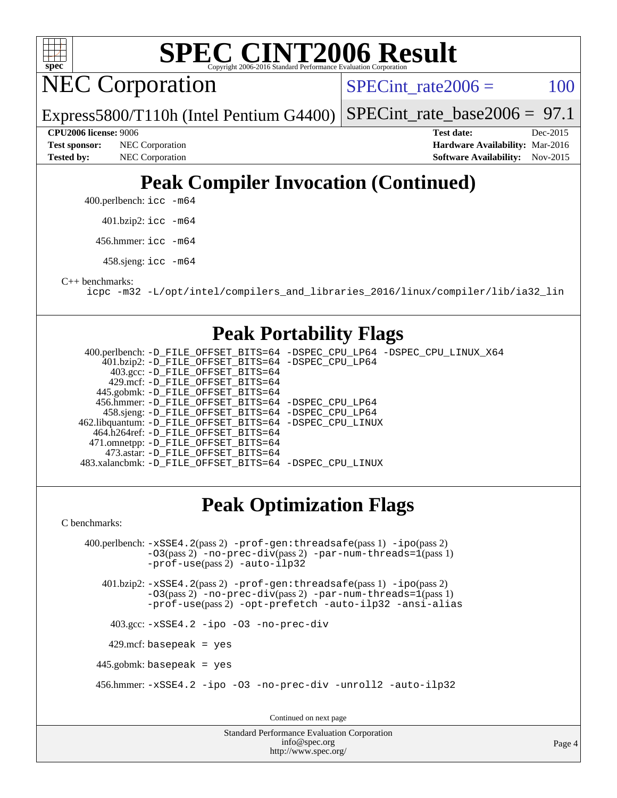

**NEC Corporation** 

SPECint rate $2006 = 100$ 

Express5800/T110h (Intel Pentium G4400) [SPECint\\_rate\\_base2006 =](http://www.spec.org/auto/cpu2006/Docs/result-fields.html#SPECintratebase2006) 97.1

**[Tested by:](http://www.spec.org/auto/cpu2006/Docs/result-fields.html#Testedby)** NEC Corporation **[Software Availability:](http://www.spec.org/auto/cpu2006/Docs/result-fields.html#SoftwareAvailability)** Nov-2015

**[CPU2006 license:](http://www.spec.org/auto/cpu2006/Docs/result-fields.html#CPU2006license)** 9006 **[Test date:](http://www.spec.org/auto/cpu2006/Docs/result-fields.html#Testdate)** Dec-2015 **[Test sponsor:](http://www.spec.org/auto/cpu2006/Docs/result-fields.html#Testsponsor)** NEC Corporation **NEC Corporation [Hardware Availability:](http://www.spec.org/auto/cpu2006/Docs/result-fields.html#HardwareAvailability)** Mar-2016

# **[Peak Compiler Invocation \(Continued\)](http://www.spec.org/auto/cpu2006/Docs/result-fields.html#PeakCompilerInvocation)**

400.perlbench: [icc -m64](http://www.spec.org/cpu2006/results/res2016q1/cpu2006-20160125-38837.flags.html#user_peakCCLD400_perlbench_intel_icc_64bit_bda6cc9af1fdbb0edc3795bac97ada53)

401.bzip2: [icc -m64](http://www.spec.org/cpu2006/results/res2016q1/cpu2006-20160125-38837.flags.html#user_peakCCLD401_bzip2_intel_icc_64bit_bda6cc9af1fdbb0edc3795bac97ada53)

456.hmmer: [icc -m64](http://www.spec.org/cpu2006/results/res2016q1/cpu2006-20160125-38837.flags.html#user_peakCCLD456_hmmer_intel_icc_64bit_bda6cc9af1fdbb0edc3795bac97ada53)

458.sjeng: [icc -m64](http://www.spec.org/cpu2006/results/res2016q1/cpu2006-20160125-38837.flags.html#user_peakCCLD458_sjeng_intel_icc_64bit_bda6cc9af1fdbb0edc3795bac97ada53)

[C++ benchmarks:](http://www.spec.org/auto/cpu2006/Docs/result-fields.html#CXXbenchmarks)

[icpc -m32 -L/opt/intel/compilers\\_and\\_libraries\\_2016/linux/compiler/lib/ia32\\_lin](http://www.spec.org/cpu2006/results/res2016q1/cpu2006-20160125-38837.flags.html#user_CXXpeak_intel_icpc_b4f50a394bdb4597aa5879c16bc3f5c5)

### **[Peak Portability Flags](http://www.spec.org/auto/cpu2006/Docs/result-fields.html#PeakPortabilityFlags)**

 400.perlbench: [-D\\_FILE\\_OFFSET\\_BITS=64](http://www.spec.org/cpu2006/results/res2016q1/cpu2006-20160125-38837.flags.html#user_peakPORTABILITY400_perlbench_file_offset_bits_64_438cf9856305ebd76870a2c6dc2689ab) [-DSPEC\\_CPU\\_LP64](http://www.spec.org/cpu2006/results/res2016q1/cpu2006-20160125-38837.flags.html#b400.perlbench_peakCPORTABILITY_DSPEC_CPU_LP64) [-DSPEC\\_CPU\\_LINUX\\_X64](http://www.spec.org/cpu2006/results/res2016q1/cpu2006-20160125-38837.flags.html#b400.perlbench_peakCPORTABILITY_DSPEC_CPU_LINUX_X64) 401.bzip2: [-D\\_FILE\\_OFFSET\\_BITS=64](http://www.spec.org/cpu2006/results/res2016q1/cpu2006-20160125-38837.flags.html#user_peakPORTABILITY401_bzip2_file_offset_bits_64_438cf9856305ebd76870a2c6dc2689ab) [-DSPEC\\_CPU\\_LP64](http://www.spec.org/cpu2006/results/res2016q1/cpu2006-20160125-38837.flags.html#suite_peakCPORTABILITY401_bzip2_DSPEC_CPU_LP64) 403.gcc: [-D\\_FILE\\_OFFSET\\_BITS=64](http://www.spec.org/cpu2006/results/res2016q1/cpu2006-20160125-38837.flags.html#user_peakPORTABILITY403_gcc_file_offset_bits_64_438cf9856305ebd76870a2c6dc2689ab) 429.mcf: [-D\\_FILE\\_OFFSET\\_BITS=64](http://www.spec.org/cpu2006/results/res2016q1/cpu2006-20160125-38837.flags.html#user_peakPORTABILITY429_mcf_file_offset_bits_64_438cf9856305ebd76870a2c6dc2689ab) 445.gobmk: [-D\\_FILE\\_OFFSET\\_BITS=64](http://www.spec.org/cpu2006/results/res2016q1/cpu2006-20160125-38837.flags.html#user_peakPORTABILITY445_gobmk_file_offset_bits_64_438cf9856305ebd76870a2c6dc2689ab) 456.hmmer: [-D\\_FILE\\_OFFSET\\_BITS=64](http://www.spec.org/cpu2006/results/res2016q1/cpu2006-20160125-38837.flags.html#user_peakPORTABILITY456_hmmer_file_offset_bits_64_438cf9856305ebd76870a2c6dc2689ab) [-DSPEC\\_CPU\\_LP64](http://www.spec.org/cpu2006/results/res2016q1/cpu2006-20160125-38837.flags.html#suite_peakCPORTABILITY456_hmmer_DSPEC_CPU_LP64) 458.sjeng: [-D\\_FILE\\_OFFSET\\_BITS=64](http://www.spec.org/cpu2006/results/res2016q1/cpu2006-20160125-38837.flags.html#user_peakPORTABILITY458_sjeng_file_offset_bits_64_438cf9856305ebd76870a2c6dc2689ab) [-DSPEC\\_CPU\\_LP64](http://www.spec.org/cpu2006/results/res2016q1/cpu2006-20160125-38837.flags.html#suite_peakCPORTABILITY458_sjeng_DSPEC_CPU_LP64) 462.libquantum: [-D\\_FILE\\_OFFSET\\_BITS=64](http://www.spec.org/cpu2006/results/res2016q1/cpu2006-20160125-38837.flags.html#user_peakPORTABILITY462_libquantum_file_offset_bits_64_438cf9856305ebd76870a2c6dc2689ab) [-DSPEC\\_CPU\\_LINUX](http://www.spec.org/cpu2006/results/res2016q1/cpu2006-20160125-38837.flags.html#b462.libquantum_peakCPORTABILITY_DSPEC_CPU_LINUX) 464.h264ref: [-D\\_FILE\\_OFFSET\\_BITS=64](http://www.spec.org/cpu2006/results/res2016q1/cpu2006-20160125-38837.flags.html#user_peakPORTABILITY464_h264ref_file_offset_bits_64_438cf9856305ebd76870a2c6dc2689ab) 471.omnetpp: [-D\\_FILE\\_OFFSET\\_BITS=64](http://www.spec.org/cpu2006/results/res2016q1/cpu2006-20160125-38837.flags.html#user_peakPORTABILITY471_omnetpp_file_offset_bits_64_438cf9856305ebd76870a2c6dc2689ab) 473.astar: [-D\\_FILE\\_OFFSET\\_BITS=64](http://www.spec.org/cpu2006/results/res2016q1/cpu2006-20160125-38837.flags.html#user_peakPORTABILITY473_astar_file_offset_bits_64_438cf9856305ebd76870a2c6dc2689ab) 483.xalancbmk: [-D\\_FILE\\_OFFSET\\_BITS=64](http://www.spec.org/cpu2006/results/res2016q1/cpu2006-20160125-38837.flags.html#user_peakPORTABILITY483_xalancbmk_file_offset_bits_64_438cf9856305ebd76870a2c6dc2689ab) [-DSPEC\\_CPU\\_LINUX](http://www.spec.org/cpu2006/results/res2016q1/cpu2006-20160125-38837.flags.html#b483.xalancbmk_peakCXXPORTABILITY_DSPEC_CPU_LINUX)

## **[Peak Optimization Flags](http://www.spec.org/auto/cpu2006/Docs/result-fields.html#PeakOptimizationFlags)**

[C benchmarks](http://www.spec.org/auto/cpu2006/Docs/result-fields.html#Cbenchmarks):

 400.perlbench: [-xSSE4.2](http://www.spec.org/cpu2006/results/res2016q1/cpu2006-20160125-38837.flags.html#user_peakPASS2_CFLAGSPASS2_LDCFLAGS400_perlbench_f-xSSE42_f91528193cf0b216347adb8b939d4107)(pass 2) [-prof-gen:threadsafe](http://www.spec.org/cpu2006/results/res2016q1/cpu2006-20160125-38837.flags.html#user_peakPASS1_CFLAGSPASS1_LDCFLAGS400_perlbench_prof_gen_21a26eb79f378b550acd7bec9fe4467a)(pass 1) [-ipo](http://www.spec.org/cpu2006/results/res2016q1/cpu2006-20160125-38837.flags.html#user_peakPASS2_CFLAGSPASS2_LDCFLAGS400_perlbench_f-ipo)(pass 2)  $-$ O3(pass 2)  $-$ no-prec-div(pass 2)  $-$ par-num-threads=1(pass 1) [-prof-use](http://www.spec.org/cpu2006/results/res2016q1/cpu2006-20160125-38837.flags.html#user_peakPASS2_CFLAGSPASS2_LDCFLAGS400_perlbench_prof_use_bccf7792157ff70d64e32fe3e1250b55)(pass 2) [-auto-ilp32](http://www.spec.org/cpu2006/results/res2016q1/cpu2006-20160125-38837.flags.html#user_peakCOPTIMIZE400_perlbench_f-auto-ilp32)

 401.bzip2: [-xSSE4.2](http://www.spec.org/cpu2006/results/res2016q1/cpu2006-20160125-38837.flags.html#user_peakPASS2_CFLAGSPASS2_LDCFLAGS401_bzip2_f-xSSE42_f91528193cf0b216347adb8b939d4107)(pass 2) [-prof-gen:threadsafe](http://www.spec.org/cpu2006/results/res2016q1/cpu2006-20160125-38837.flags.html#user_peakPASS1_CFLAGSPASS1_LDCFLAGS401_bzip2_prof_gen_21a26eb79f378b550acd7bec9fe4467a)(pass 1) [-ipo](http://www.spec.org/cpu2006/results/res2016q1/cpu2006-20160125-38837.flags.html#user_peakPASS2_CFLAGSPASS2_LDCFLAGS401_bzip2_f-ipo)(pass 2)  $-03$ (pass 2)  $-$ no-prec-div(pass 2) [-par-num-threads=1](http://www.spec.org/cpu2006/results/res2016q1/cpu2006-20160125-38837.flags.html#user_peakPASS1_CFLAGSPASS1_LDCFLAGS401_bzip2_par_num_threads_786a6ff141b4e9e90432e998842df6c2)(pass 1) [-prof-use](http://www.spec.org/cpu2006/results/res2016q1/cpu2006-20160125-38837.flags.html#user_peakPASS2_CFLAGSPASS2_LDCFLAGS401_bzip2_prof_use_bccf7792157ff70d64e32fe3e1250b55)(pass 2) [-opt-prefetch](http://www.spec.org/cpu2006/results/res2016q1/cpu2006-20160125-38837.flags.html#user_peakCOPTIMIZE401_bzip2_f-opt-prefetch) [-auto-ilp32](http://www.spec.org/cpu2006/results/res2016q1/cpu2006-20160125-38837.flags.html#user_peakCOPTIMIZE401_bzip2_f-auto-ilp32) [-ansi-alias](http://www.spec.org/cpu2006/results/res2016q1/cpu2006-20160125-38837.flags.html#user_peakCOPTIMIZE401_bzip2_f-ansi-alias)

403.gcc: [-xSSE4.2](http://www.spec.org/cpu2006/results/res2016q1/cpu2006-20160125-38837.flags.html#user_peakCOPTIMIZE403_gcc_f-xSSE42_f91528193cf0b216347adb8b939d4107) [-ipo](http://www.spec.org/cpu2006/results/res2016q1/cpu2006-20160125-38837.flags.html#user_peakCOPTIMIZE403_gcc_f-ipo) [-O3](http://www.spec.org/cpu2006/results/res2016q1/cpu2006-20160125-38837.flags.html#user_peakCOPTIMIZE403_gcc_f-O3) [-no-prec-div](http://www.spec.org/cpu2006/results/res2016q1/cpu2006-20160125-38837.flags.html#user_peakCOPTIMIZE403_gcc_f-no-prec-div)

 $429$ .mcf: basepeak = yes

445.gobmk: basepeak = yes

456.hmmer: [-xSSE4.2](http://www.spec.org/cpu2006/results/res2016q1/cpu2006-20160125-38837.flags.html#user_peakCOPTIMIZE456_hmmer_f-xSSE42_f91528193cf0b216347adb8b939d4107) [-ipo](http://www.spec.org/cpu2006/results/res2016q1/cpu2006-20160125-38837.flags.html#user_peakCOPTIMIZE456_hmmer_f-ipo) [-O3](http://www.spec.org/cpu2006/results/res2016q1/cpu2006-20160125-38837.flags.html#user_peakCOPTIMIZE456_hmmer_f-O3) [-no-prec-div](http://www.spec.org/cpu2006/results/res2016q1/cpu2006-20160125-38837.flags.html#user_peakCOPTIMIZE456_hmmer_f-no-prec-div) [-unroll2](http://www.spec.org/cpu2006/results/res2016q1/cpu2006-20160125-38837.flags.html#user_peakCOPTIMIZE456_hmmer_f-unroll_784dae83bebfb236979b41d2422d7ec2) [-auto-ilp32](http://www.spec.org/cpu2006/results/res2016q1/cpu2006-20160125-38837.flags.html#user_peakCOPTIMIZE456_hmmer_f-auto-ilp32)

Continued on next page

Standard Performance Evaluation Corporation [info@spec.org](mailto:info@spec.org) <http://www.spec.org/>